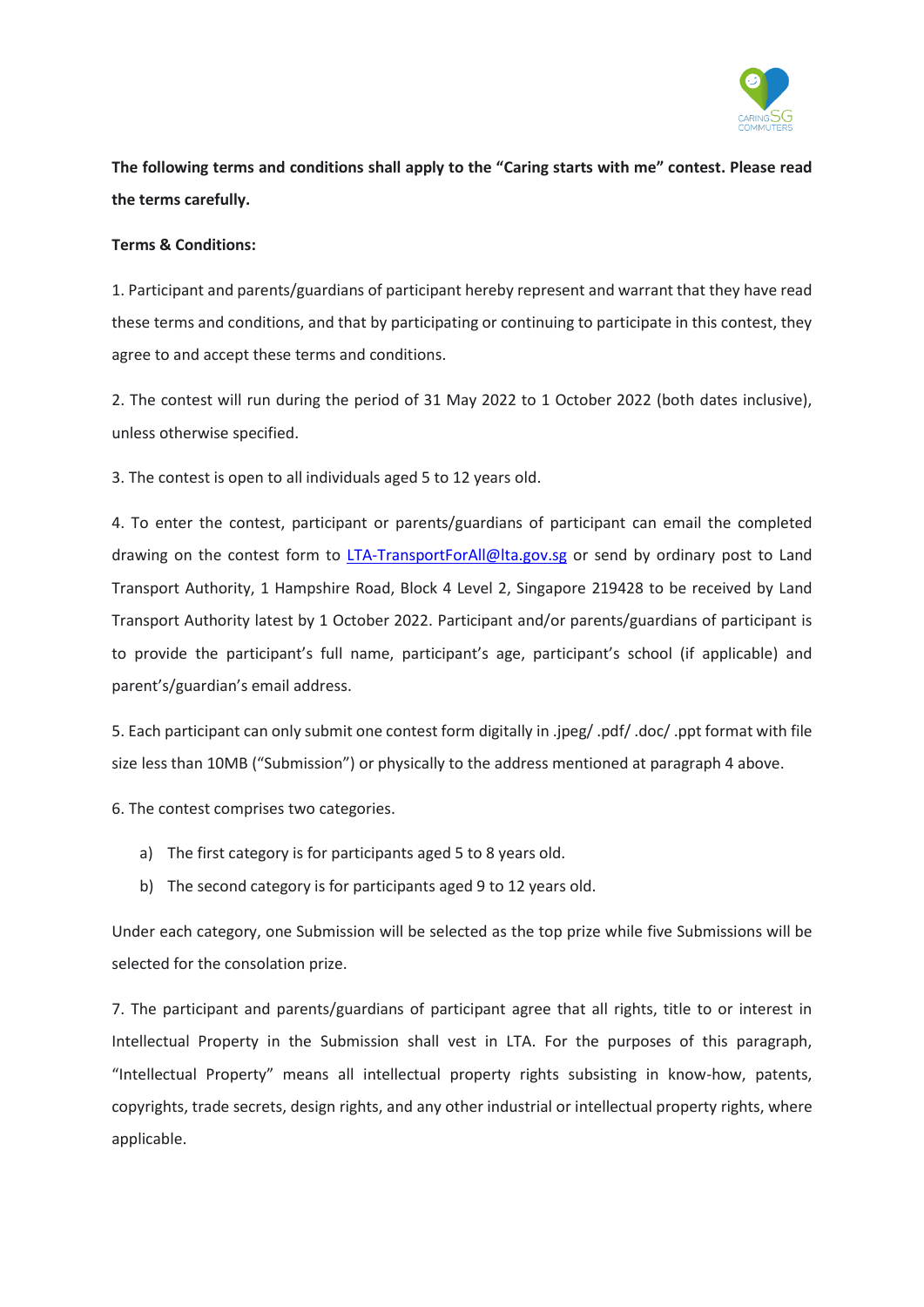

**The following terms and conditions shall apply to the "Caring starts with me" contest. Please read the terms carefully.**

## **Terms & Conditions:**

1. Participant and parents/guardians of participant hereby represent and warrant that they have read these terms and conditions, and that by participating or continuing to participate in this contest, they agree to and accept these terms and conditions.

2. The contest will run during the period of 31 May 2022 to 1 October 2022 (both dates inclusive), unless otherwise specified.

3. The contest is open to all individuals aged 5 to 12 years old.

4. To enter the contest, participant or parents/guardians of participant can email the completed drawing on the contest form to [LTA-TransportForAll@lta.gov.sg](mailto:LTA-TransportForAll@lta.gov.sg) or send by ordinary post to Land Transport Authority, 1 Hampshire Road, Block 4 Level 2, Singapore 219428 to be received by Land Transport Authority latest by 1 October 2022. Participant and/or parents/guardians of participant is to provide the participant's full name, participant's age, participant's school (if applicable) and parent's/guardian's email address.

5. Each participant can only submit one contest form digitally in .jpeg/ .pdf/ .doc/ .ppt format with file size less than 10MB ("Submission") or physically to the address mentioned at paragraph 4 above.

6. The contest comprises two categories.

- a) The first category is for participants aged 5 to 8 years old.
- b) The second category is for participants aged 9 to 12 years old.

Under each category, one Submission will be selected as the top prize while five Submissions will be selected for the consolation prize.

7. The participant and parents/guardians of participant agree that all rights, title to or interest in Intellectual Property in the Submission shall vest in LTA. For the purposes of this paragraph, "Intellectual Property" means all intellectual property rights subsisting in know-how, patents, copyrights, trade secrets, design rights, and any other industrial or intellectual property rights, where applicable.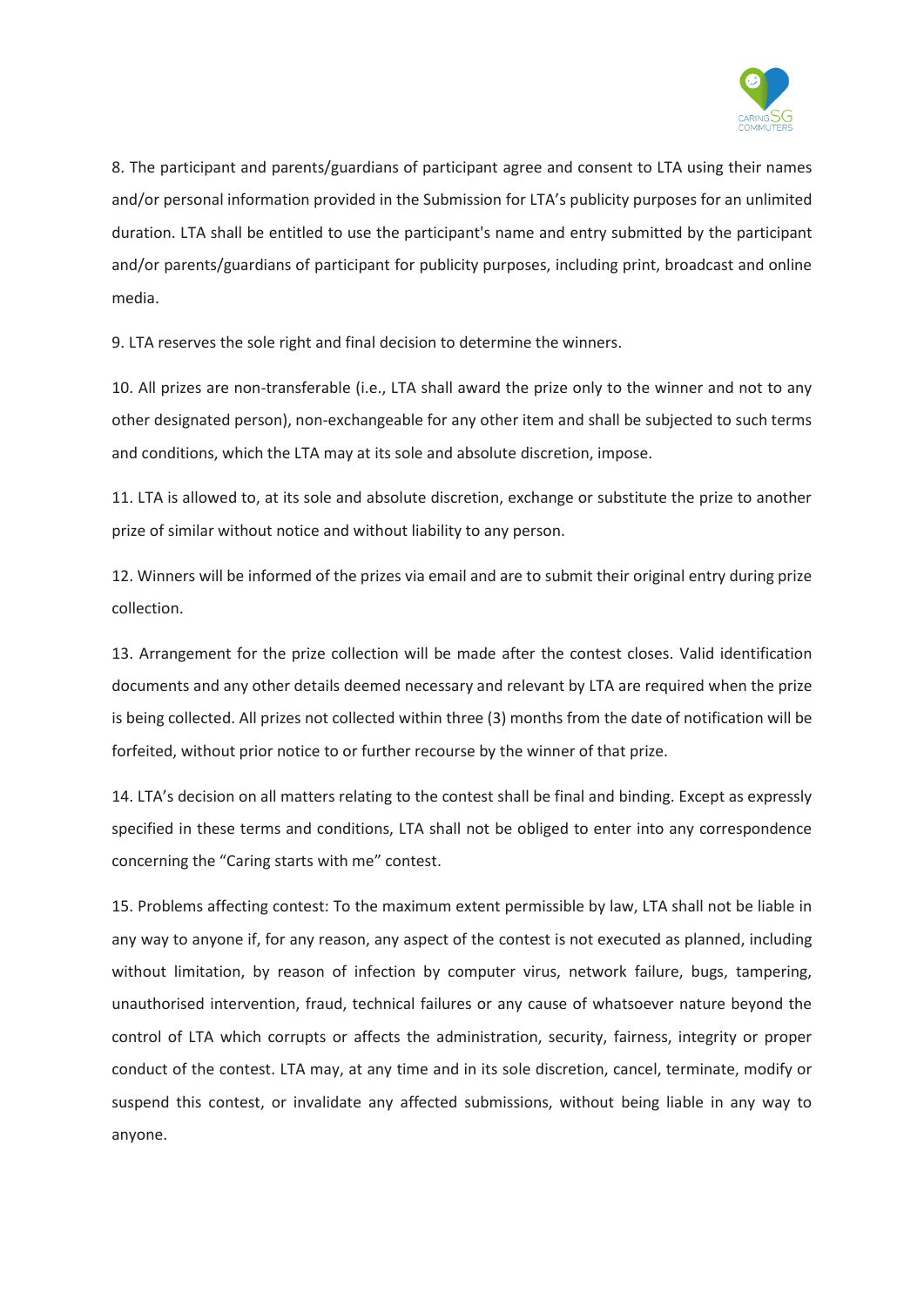

8. The participant and parents/guardians of participant agree and consent to LTA using their names and/or personal information provided in the Submission for LTA's publicity purposes for an unlimited duration. LTA shall be entitled to use the participant's name and entry submitted by the participant and/or parents/guardians of participant for publicity purposes, including print, broadcast and online media.

9. LTA reserves the sole right and final decision to determine the winners.

10. All prizes are non-transferable (i.e., LTA shall award the prize only to the winner and not to any other designated person), non-exchangeable for any other item and shall be subjected to such terms and conditions, which the LTA may at its sole and absolute discretion, impose.

11. LTA is allowed to, at its sole and absolute discretion, exchange or substitute the prize to another prize of similar without notice and without liability to any person.

12. Winners will be informed of the prizes via email and are to submit their original entry during prize collection.

13. Arrangement for the prize collection will be made after the contest closes. Valid identification documents and any other details deemed necessary and relevant by LTA are required when the prize is being collected. All prizes not collected within three (3) months from the date of notification will be forfeited, without prior notice to or further recourse by the winner of that prize.

14. LTA's decision on all matters relating to the contest shall be final and binding. Except as expressly specified in these terms and conditions, LTA shall not be obliged to enter into any correspondence concerning the "Caring starts with me" contest.

15. Problems affecting contest: To the maximum extent permissible by law, LTA shall not be liable in any way to anyone if, for any reason, any aspect of the contest is not executed as planned, including without limitation, by reason of infection by computer virus, network failure, bugs, tampering, unauthorised intervention, fraud, technical failures or any cause of whatsoever nature beyond the control of LTA which corrupts or affects the administration, security, fairness, integrity or proper conduct of the contest. LTA may, at any time and in its sole discretion, cancel, terminate, modify or suspend this contest, or invalidate any affected submissions, without being liable in any way to anyone.